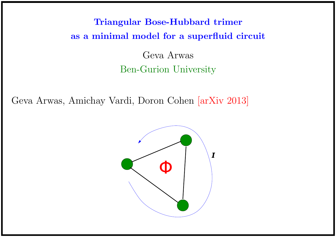# Triangular Bose-Hubbard trimer as a minimal model for a superfluid circuit Geva Arwas

# Ben-Gurion University

Geva Arwas, Amichay Vardi, Doron Cohen [arXiv 2013]

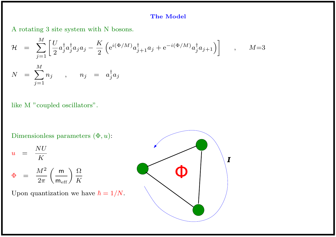# The Model

A rotating 3 site system with N bosons.

$$
\mathcal{H} = \sum_{j=1}^{M} \left[ \frac{U}{2} a_j^{\dagger} a_j^{\dagger} a_j a_j - \frac{K}{2} \left( e^{i(\Phi/M)} a_{j+1}^{\dagger} a_j + e^{-i(\Phi/M)} a_j^{\dagger} a_{j+1} \right) \right] , \qquad M=3
$$
  

$$
N = \sum_{j=1}^{M} n_j , \qquad n_j = a_j^{\dagger} a_j
$$

like M "coupled oscillators".

Dimensionless parameters  $(\Phi, u)$ :

$$
u = \frac{NU}{K}
$$
  

$$
\Phi = \frac{M^2}{2\pi} \left(\frac{\mathsf{m}}{\mathsf{m}_{\text{eff}}}\right) \frac{\Omega}{K}
$$

Upon quantization we have  $\hbar = 1/N$ .

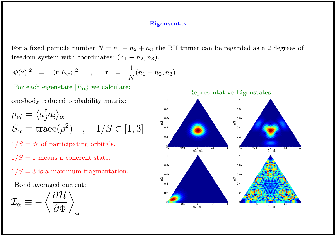#### **Eigenstates**

For a fixed particle number  $N = n_1 + n_2 + n_3$  the BH trimer can be regarded as a 2 degrees of freedom system with coordinates:  $(n_1 - n_2, n_3)$ .

$$
|\psi(\mathbf{r})|^2 = |\langle \mathbf{r}|E_{\alpha} \rangle|^2 \qquad , \qquad \mathbf{r} = \frac{1}{N}(n_1 - n_2, n_3)
$$

For each eigenstate  $|E_{\alpha}\rangle$  we calculate:

one-body reduced probability matrix:

$$
\rho_{ij} = \langle a_j^{\dagger} a_i \rangle_{\alpha}
$$
  
\n
$$
S_{\alpha} \equiv \text{trace}(\rho^2) \quad , \quad 1/S \in [1, 3]
$$
  
\n
$$
1/S = \# \text{ of participating orbitals.}
$$

 $1/S = 1$  means a coherent state.

 $1/S = 3$  is a maximum fragmentation.

Bond averaged current:

$$
\mathcal{I}_\alpha \equiv -\left\langle \frac{\partial \mathcal{H}}{\partial \Phi} \right\rangle_\alpha
$$

Representative Eigenstates:

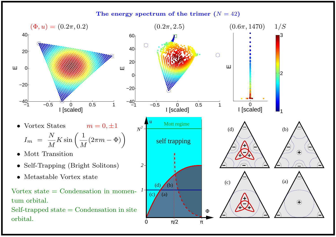The energy spectrum of the trimer  $(N = 42)$ 

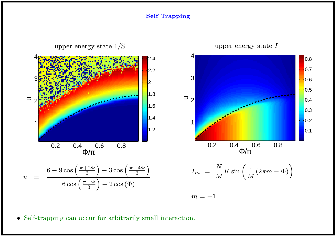#### Self Trapping



• Self-trapping can occur for arbitrarily small interaction.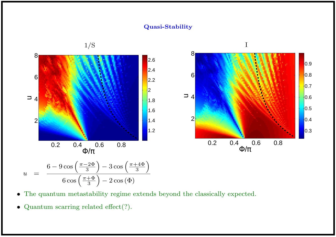### Quasi-Stability



- The quantum metastability regime extends beyond the classically expected.
- Quantum scarring related effect(?).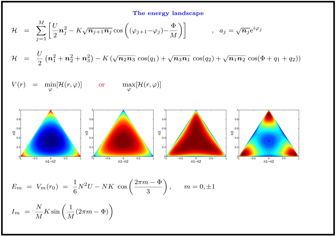# The energy landscape

$$
\mathcal{H} = \sum_{j=1}^{M} \left[ \frac{U}{2} \mathbf{n}_j^2 - K \sqrt{\mathbf{n}_{j+1} \mathbf{n}_j} \cos \left( (\varphi_{j+1} - \varphi_j) - \frac{\Phi}{M} \right) \right] , \quad a_j = \sqrt{\mathbf{n}_j} e^{i \varphi_j}
$$

 $\mathcal{H}$  =  $\mathcal{U}$ 2  $(\bm{n}_1^2$  $\frac{2}{1}+n_2^2$  $\frac{2}{2}+n_3^2$  $_{3}^{2}\right) - K$  ( √  $\overline{{\bm{n}}_2{\bm{n}}_3}\,\cos(q_1)+\sqrt{{\bm{n}}_3{\bm{n}}_1}\,\cos(q_2)+\sqrt{{\bm{n}}_1{\bm{n}}_2}\,\cos(\Phi+q_1+q_2))$ 

$$
V(r) = \min_{\varphi} [\mathcal{H}(r, \varphi)] \quad \text{or} \quad \max_{\varphi} [\mathcal{H}(r, \varphi)]
$$



$$
E_m = V_m(r_0) = \frac{1}{6}N^2U - NK \cos\left(\frac{2\pi m - \Phi}{3}\right), \quad m = 0, \pm 1
$$

$$
I_m = \frac{N}{M} K \sin\left(\frac{1}{M}(2\pi m - \Phi)\right)
$$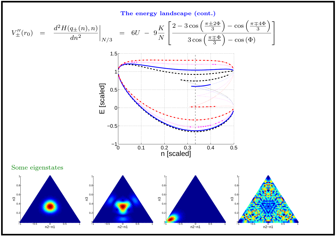The energy landscape (cont.)

$$
V''_{\pm}(r_0) = \frac{d^2 H(q_{\pm}(n), n)}{dn^2} \bigg|_{N/3} = 6U - 9\frac{K}{N} \left[ \frac{2 - 3\cos\left(\frac{\pi \pm 2\Phi}{3}\right) - \cos\left(\frac{\pi \mp 4\Phi}{3}\right)}{3\cos\left(\frac{\pi \mp \Phi}{3}\right) - \cos(\Phi)} \right]
$$



Some eigenstates





![](_page_7_Figure_6.jpeg)

![](_page_7_Figure_7.jpeg)